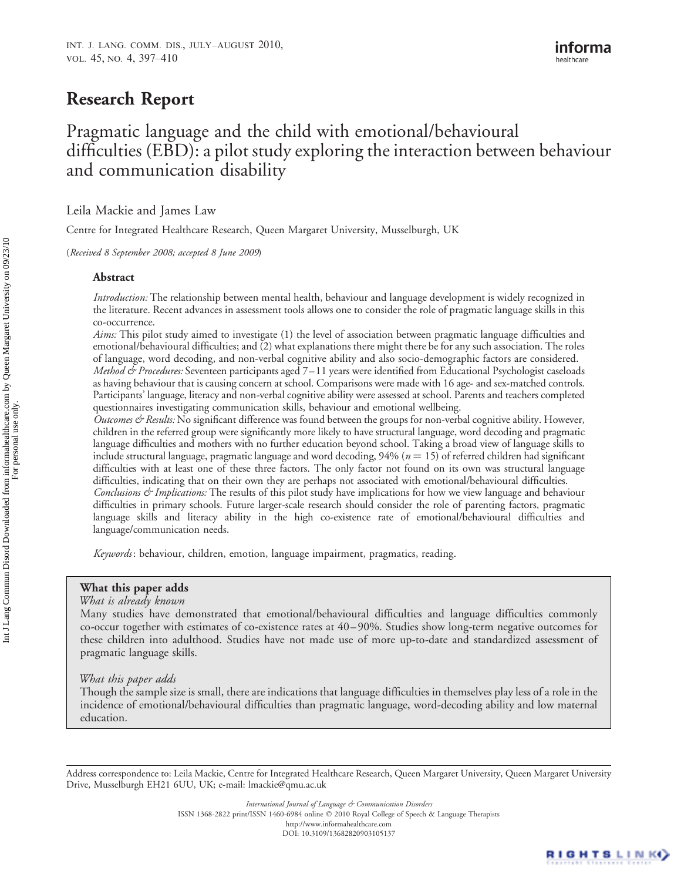# Research Report

# Pragmatic language and the child with emotional/behavioural difficulties (EBD): a pilot study exploring the interaction between behaviour and communication disability

Leila Mackie and James Law

Centre for Integrated Healthcare Research, Queen Margaret University, Musselburgh, UK

(Received 8 September 2008; accepted 8 June 2009)

# Abstract

Introduction: The relationship between mental health, behaviour and language development is widely recognized in the literature. Recent advances in assessment tools allows one to consider the role of pragmatic language skills in this co-occurrence.

Aims: This pilot study aimed to investigate (1) the level of association between pragmatic language difficulties and emotional/behavioural difficulties; and (2) what explanations there might there be for any such association. The roles of language, word decoding, and non-verbal cognitive ability and also socio-demographic factors are considered. Method & Procedures: Seventeen participants aged 7-11 years were identified from Educational Psychologist caseloads as having behaviour that is causing concern at school. Comparisons were made with 16 age- and sex-matched controls.

Participants' language, literacy and non-verbal cognitive ability were assessed at school. Parents and teachers completed questionnaires investigating communication skills, behaviour and emotional wellbeing.

Outcomes & Results: No significant difference was found between the groups for non-verbal cognitive ability. However, children in the referred group were significantly more likely to have structural language, word decoding and pragmatic language difficulties and mothers with no further education beyond school. Taking a broad view of language skills to include structural language, pragmatic language and word decoding,  $94\%$  ( $n = 15$ ) of referred children had significant difficulties with at least one of these three factors. The only factor not found on its own was structural language difficulties, indicating that on their own they are perhaps not associated with emotional/behavioural difficulties. Conclusions  $\acute{c}$  Implications: The results of this pilot study have implications for how we view language and behaviour

difficulties in primary schools. Future larger-scale research should consider the role of parenting factors, pragmatic language skills and literacy ability in the high co-existence rate of emotional/behavioural difficulties and language/communication needs.

Keywords : behaviour, children, emotion, language impairment, pragmatics, reading.

# What this paper adds

## What is already known

Many studies have demonstrated that emotional/behavioural difficulties and language difficulties commonly co-occur together with estimates of co-existence rates at 40–90%. Studies show long-term negative outcomes for these children into adulthood. Studies have not made use of more up-to-date and standardized assessment of pragmatic language skills.

# What this paper adds

Though the sample size is small, there are indications that language difficulties in themselves play less of a role in the incidence of emotional/behavioural difficulties than pragmatic language, word-decoding ability and low maternal education.

International Journal of Language & Communication Disorders ISSN 1368-2822 print/ISSN 1460-6984 online q 2010 Royal College of Speech & Language Therapists http://www.informahealthcare.com DOI: 10.3109/13682820903105137



Address correspondence to: Leila Mackie, Centre for Integrated Healthcare Research, Queen Margaret University, Queen Margaret University Drive, Musselburgh EH21 6UU, UK; e-mail: lmackie@qmu.ac.uk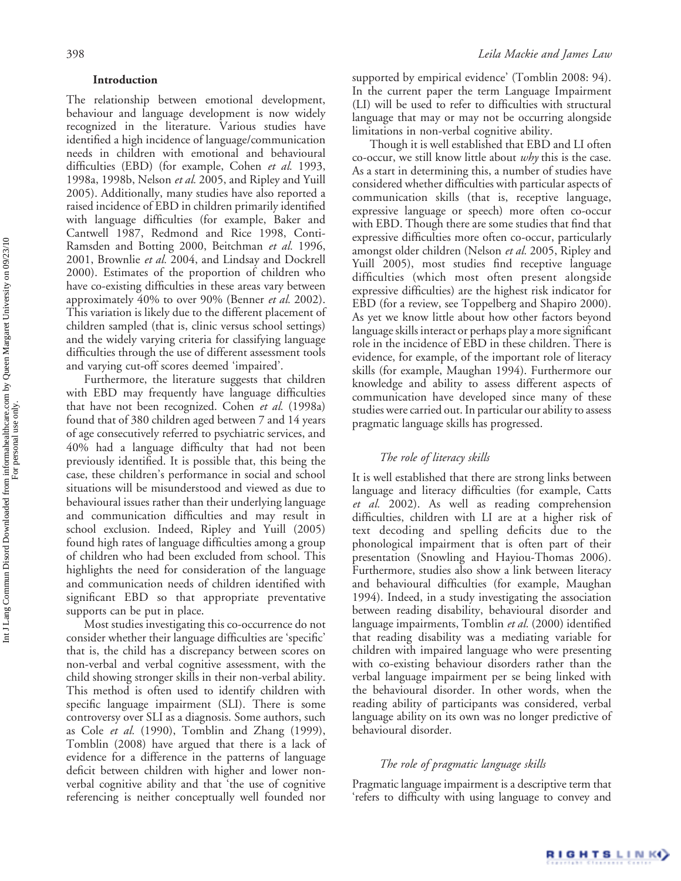## Introduction

The relationship between emotional development, behaviour and language development is now widely recognized in the literature. Various studies have identified a high incidence of language/communication needs in children with emotional and behavioural difficulties (EBD) (for example, Cohen et al. 1993, 1998a, 1998b, Nelson et al. 2005, and Ripley and Yuill 2005). Additionally, many studies have also reported a raised incidence of EBD in children primarily identified with language difficulties (for example, Baker and Cantwell 1987, Redmond and Rice 1998, Conti-Ramsden and Botting 2000, Beitchman et al. 1996, 2001, Brownlie et al. 2004, and Lindsay and Dockrell 2000). Estimates of the proportion of children who have co-existing difficulties in these areas vary between approximately 40% to over 90% (Benner et al. 2002). This variation is likely due to the different placement of children sampled (that is, clinic versus school settings) and the widely varying criteria for classifying language difficulties through the use of different assessment tools and varying cut-off scores deemed 'impaired'.

Furthermore, the literature suggests that children with EBD may frequently have language difficulties that have not been recognized. Cohen *et al.* (1998a) found that of 380 children aged between 7 and 14 years of age consecutively referred to psychiatric services, and 40% had a language difficulty that had not been previously identified. It is possible that, this being the case, these children's performance in social and school situations will be misunderstood and viewed as due to behavioural issues rather than their underlying language and communication difficulties and may result in school exclusion. Indeed, Ripley and Yuill (2005) found high rates of language difficulties among a group of children who had been excluded from school. This highlights the need for consideration of the language and communication needs of children identified with significant EBD so that appropriate preventative supports can be put in place.

Most studies investigating this co-occurrence do not consider whether their language difficulties are 'specific' that is, the child has a discrepancy between scores on non-verbal and verbal cognitive assessment, with the child showing stronger skills in their non-verbal ability. This method is often used to identify children with specific language impairment (SLI). There is some controversy over SLI as a diagnosis. Some authors, such as Cole *et al.* (1990), Tomblin and Zhang (1999), Tomblin (2008) have argued that there is a lack of evidence for a difference in the patterns of language deficit between children with higher and lower nonverbal cognitive ability and that 'the use of cognitive referencing is neither conceptually well founded nor

supported by empirical evidence' (Tomblin 2008: 94). In the current paper the term Language Impairment (LI) will be used to refer to difficulties with structural language that may or may not be occurring alongside limitations in non-verbal cognitive ability.

Though it is well established that EBD and LI often co-occur, we still know little about  $why$  this is the case. As a start in determining this, a number of studies have considered whether difficulties with particular aspects of communication skills (that is, receptive language, expressive language or speech) more often co-occur with EBD. Though there are some studies that find that expressive difficulties more often co-occur, particularly amongst older children (Nelson et al. 2005, Ripley and Yuill 2005), most studies find receptive language difficulties (which most often present alongside expressive difficulties) are the highest risk indicator for EBD (for a review, see Toppelberg and Shapiro 2000). As yet we know little about how other factors beyond language skills interact or perhaps play a more significant role in the incidence of EBD in these children. There is evidence, for example, of the important role of literacy skills (for example, Maughan 1994). Furthermore our knowledge and ability to assess different aspects of communication have developed since many of these studies were carried out. In particular our ability to assess pragmatic language skills has progressed.

## The role of literacy skills

It is well established that there are strong links between language and literacy difficulties (for example, Catts et al. 2002). As well as reading comprehension difficulties, children with LI are at a higher risk of text decoding and spelling deficits due to the phonological impairment that is often part of their presentation (Snowling and Hayiou-Thomas 2006). Furthermore, studies also show a link between literacy and behavioural difficulties (for example, Maughan 1994). Indeed, in a study investigating the association between reading disability, behavioural disorder and language impairments, Tomblin et al. (2000) identified that reading disability was a mediating variable for children with impaired language who were presenting with co-existing behaviour disorders rather than the verbal language impairment per se being linked with the behavioural disorder. In other words, when the reading ability of participants was considered, verbal language ability on its own was no longer predictive of behavioural disorder.

## The role of pragmatic language skills

Pragmatic language impairment is a descriptive term that 'refers to difficulty with using language to convey and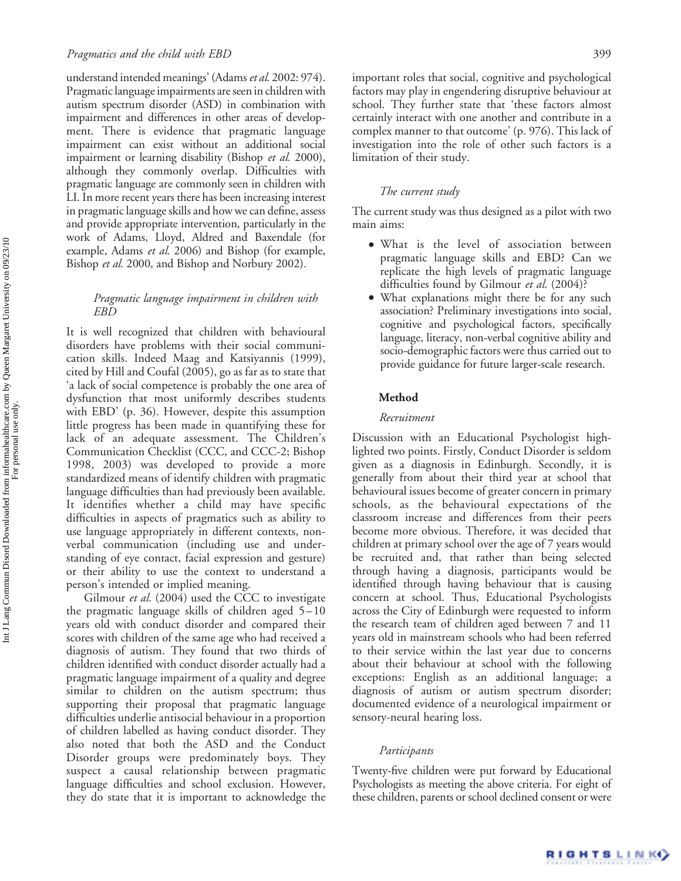understand intended meanings' (Adams et al. 2002: 974). Pragmatic language impairments are seen in children with autism spectrum disorder (ASD) in combination with impairment and differences in other areas of development. There is evidence that pragmatic language impairment can exist without an additional social impairment or learning disability (Bishop et al. 2000), although they commonly overlap. Difficulties with pragmatic language are commonly seen in children with LI. In more recent years there has been increasing interest in pragmatic language skills and how we can define, assess and provide appropriate intervention, particularly in the work of Adams, Lloyd, Aldred and Baxendale (for example, Adams et al. 2006) and Bishop (for example, Bishop et al. 2000, and Bishop and Norbury 2002).

## Pragmatic language impairment in children with EBD

It is well recognized that children with behavioural disorders have problems with their social communication skills. Indeed Maag and Katsiyannis (1999), cited by Hill and Coufal (2005), go as far as to state that 'a lack of social competence is probably the one area of dysfunction that most uniformly describes students with EBD' (p. 36). However, despite this assumption little progress has been made in quantifying these for lack of an adequate assessment. The Children's Communication Checklist (CCC, and CCC-2; Bishop 1998, 2003) was developed to provide a more standardized means of identify children with pragmatic language difficulties than had previously been available. It identifies whether a child may have specific difficulties in aspects of pragmatics such as ability to use language appropriately in different contexts, nonverbal communication (including use and understanding of eye contact, facial expression and gesture) or their ability to use the context to understand a person's intended or implied meaning.

Gilmour et al. (2004) used the CCC to investigate the pragmatic language skills of children aged 5–10 years old with conduct disorder and compared their scores with children of the same age who had received a diagnosis of autism. They found that two thirds of children identified with conduct disorder actually had a pragmatic language impairment of a quality and degree similar to children on the autism spectrum; thus supporting their proposal that pragmatic language difficulties underlie antisocial behaviour in a proportion of children labelled as having conduct disorder. They also noted that both the ASD and the Conduct Disorder groups were predominately boys. They suspect a causal relationship between pragmatic language difficulties and school exclusion. However, they do state that it is important to acknowledge the

important roles that social, cognitive and psychological factors may play in engendering disruptive behaviour at school. They further state that 'these factors almost certainly interact with one another and contribute in a complex manner to that outcome' (p. 976). This lack of investigation into the role of other such factors is a limitation of their study.

## The current study

The current study was thus designed as a pilot with two main aims:

- . What is the level of association between pragmatic language skills and EBD? Can we replicate the high levels of pragmatic language difficulties found by Gilmour et al. (2004)?
- . What explanations might there be for any such association? Preliminary investigations into social, cognitive and psychological factors, specifically language, literacy, non-verbal cognitive ability and socio-demographic factors were thus carried out to provide guidance for future larger-scale research.

## Method

#### Recruitment

Discussion with an Educational Psychologist highlighted two points. Firstly, Conduct Disorder is seldom given as a diagnosis in Edinburgh. Secondly, it is generally from about their third year at school that behavioural issues become of greater concern in primary schools, as the behavioural expectations of the classroom increase and differences from their peers become more obvious. Therefore, it was decided that children at primary school over the age of 7 years would be recruited and, that rather than being selected through having a diagnosis, participants would be identified through having behaviour that is causing concern at school. Thus, Educational Psychologists across the City of Edinburgh were requested to inform the research team of children aged between 7 and 11 years old in mainstream schools who had been referred to their service within the last year due to concerns about their behaviour at school with the following exceptions: English as an additional language; a diagnosis of autism or autism spectrum disorder; documented evidence of a neurological impairment or sensory-neural hearing loss.

#### Participants

Twenty-five children were put forward by Educational Psychologists as meeting the above criteria. For eight of these children, parents or school declined consent or were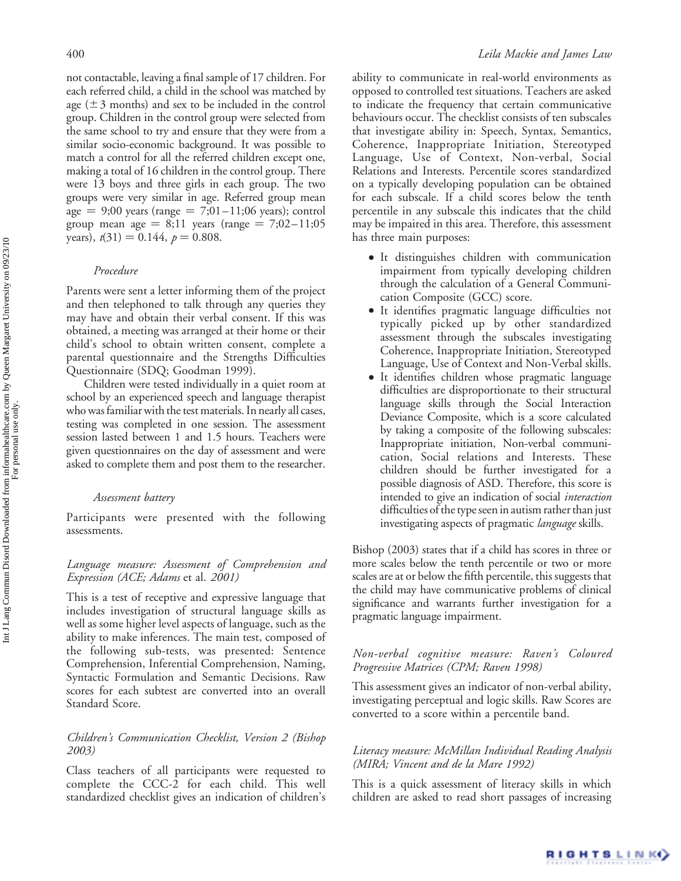not contactable, leaving a final sample of 17 children. For each referred child, a child in the school was matched by age  $(\pm 3$  months) and sex to be included in the control group. Children in the control group were selected from the same school to try and ensure that they were from a similar socio-economic background. It was possible to match a control for all the referred children except one, making a total of 16 children in the control group. There were 13 boys and three girls in each group. The two groups were very similar in age. Referred group mean age  $= 9;00$  years (range  $= 7;01-11;06$  years); control group mean age  $= 8;11$  years (range  $= 7;02-11;05$ years),  $t(31) = 0.144$ ,  $p = 0.808$ .

# Procedure

Parents were sent a letter informing them of the project and then telephoned to talk through any queries they may have and obtain their verbal consent. If this was obtained, a meeting was arranged at their home or their child's school to obtain written consent, complete a parental questionnaire and the Strengths Difficulties Questionnaire (SDQ; Goodman 1999).

Children were tested individually in a quiet room at school by an experienced speech and language therapist who was familiar with the test materials. In nearly all cases, testing was completed in one session. The assessment session lasted between 1 and 1.5 hours. Teachers were given questionnaires on the day of assessment and were asked to complete them and post them to the researcher.

#### Assessment battery

Participants were presented with the following assessments.

# Language measure: Assessment of Comprehension and Expression (ACE; Adams et al. 2001)

This is a test of receptive and expressive language that includes investigation of structural language skills as well as some higher level aspects of language, such as the ability to make inferences. The main test, composed of the following sub-tests, was presented: Sentence Comprehension, Inferential Comprehension, Naming, Syntactic Formulation and Semantic Decisions. Raw scores for each subtest are converted into an overall Standard Score.

# Children's Communication Checklist, Version 2 (Bishop 2003)

Class teachers of all participants were requested to complete the CCC-2 for each child. This well standardized checklist gives an indication of children's ability to communicate in real-world environments as opposed to controlled test situations. Teachers are asked to indicate the frequency that certain communicative behaviours occur. The checklist consists of ten subscales that investigate ability in: Speech, Syntax, Semantics, Coherence, Inappropriate Initiation, Stereotyped Language, Use of Context, Non-verbal, Social Relations and Interests. Percentile scores standardized on a typically developing population can be obtained for each subscale. If a child scores below the tenth percentile in any subscale this indicates that the child may be impaired in this area. Therefore, this assessment has three main purposes:

- . It distinguishes children with communication impairment from typically developing children through the calculation of a General Communication Composite (GCC) score.
- . It identifies pragmatic language difficulties not typically picked up by other standardized assessment through the subscales investigating Coherence, Inappropriate Initiation, Stereotyped Language, Use of Context and Non-Verbal skills.
- . It identifies children whose pragmatic language difficulties are disproportionate to their structural language skills through the Social Interaction Deviance Composite, which is a score calculated by taking a composite of the following subscales: Inappropriate initiation, Non-verbal communication, Social relations and Interests. These children should be further investigated for a possible diagnosis of ASD. Therefore, this score is intended to give an indication of social interaction difficulties of the type seen in autism rather than just investigating aspects of pragmatic language skills.

Bishop (2003) states that if a child has scores in three or more scales below the tenth percentile or two or more scales are at or below the fifth percentile, this suggests that the child may have communicative problems of clinical significance and warrants further investigation for a pragmatic language impairment.

# Non-verbal cognitive measure: Raven's Coloured Progressive Matrices (CPM; Raven 1998)

This assessment gives an indicator of non-verbal ability, investigating perceptual and logic skills. Raw Scores are converted to a score within a percentile band.

# Literacy measure: McMillan Individual Reading Analysis (MIRA; Vincent and de la Mare 1992)

This is a quick assessment of literacy skills in which children are asked to read short passages of increasing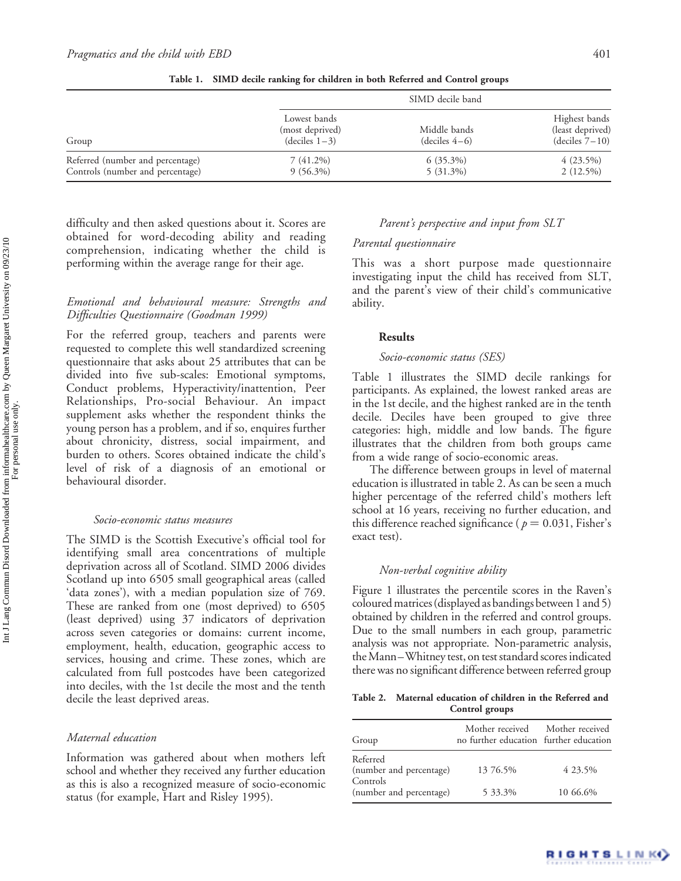|                                                                      | SIMD decile band                                   |                                |                                                       |
|----------------------------------------------------------------------|----------------------------------------------------|--------------------------------|-------------------------------------------------------|
| Group                                                                | Lowest bands<br>(most deprived)<br>$(deciles 1-3)$ | Middle bands<br>$-deciles 4-6$ | Highest bands<br>(least deprived)<br>$(deciles 7-10)$ |
| Referred (number and percentage)<br>Controls (number and percentage) | $7(41.2\%)$<br>$9(56.3\%)$                         | $6(35.3\%)$<br>$5(31.3\%)$     | $4(23.5\%)$<br>$2(12.5\%)$                            |

Table 1. SIMD decile ranking for children in both Referred and Control groups

difficulty and then asked questions about it. Scores are obtained for word-decoding ability and reading comprehension, indicating whether the child is performing within the average range for their age.

# Emotional and behavioural measure: Strengths and Difficulties Questionnaire (Goodman 1999)

For the referred group, teachers and parents were requested to complete this well standardized screening questionnaire that asks about 25 attributes that can be divided into five sub-scales: Emotional symptoms, Conduct problems, Hyperactivity/inattention, Peer Relationships, Pro-social Behaviour. An impact supplement asks whether the respondent thinks the young person has a problem, and if so, enquires further about chronicity, distress, social impairment, and burden to others. Scores obtained indicate the child's level of risk of a diagnosis of an emotional or behavioural disorder.

#### Socio-economic status measures

The SIMD is the Scottish Executive's official tool for identifying small area concentrations of multiple deprivation across all of Scotland. SIMD 2006 divides Scotland up into 6505 small geographical areas (called 'data zones'), with a median population size of 769. These are ranked from one (most deprived) to 6505 (least deprived) using 37 indicators of deprivation across seven categories or domains: current income, employment, health, education, geographic access to services, housing and crime. These zones, which are calculated from full postcodes have been categorized into deciles, with the 1st decile the most and the tenth decile the least deprived areas.

## Maternal education

Information was gathered about when mothers left school and whether they received any further education as this is also a recognized measure of socio-economic status (for example, Hart and Risley 1995).

## Parent's perspective and input from SLT

## Parental questionnaire

This was a short purpose made questionnaire investigating input the child has received from SLT, and the parent's view of their child's communicative ability.

#### Results

#### Socio-economic status (SES)

Table 1 illustrates the SIMD decile rankings for participants. As explained, the lowest ranked areas are in the 1st decile, and the highest ranked are in the tenth decile. Deciles have been grouped to give three categories: high, middle and low bands. The figure illustrates that the children from both groups came from a wide range of socio-economic areas.

The difference between groups in level of maternal education is illustrated in table 2. As can be seen a much higher percentage of the referred child's mothers left school at 16 years, receiving no further education, and this difference reached significance ( $p = 0.031$ , Fisher's exact test).

# Non-verbal cognitive ability

Figure 1 illustrates the percentile scores in the Raven's coloured matrices (displayed as bandings between 1 and 5) obtained by children in the referred and control groups. Due to the small numbers in each group, parametric analysis was not appropriate. Non-parametric analysis, the Mann–Whitney test, on test standard scores indicated there was no significant difference between referred group

Table 2. Maternal education of children in the Referred and Control groups

| Group                                           | Mother received Mother received<br>no further education further education |          |
|-------------------------------------------------|---------------------------------------------------------------------------|----------|
| Referred<br>(number and percentage)<br>Controls | 13 76.5%                                                                  | 4 23.5%  |
| (number and percentage)                         | 5 33.3%                                                                   | 10 66.6% |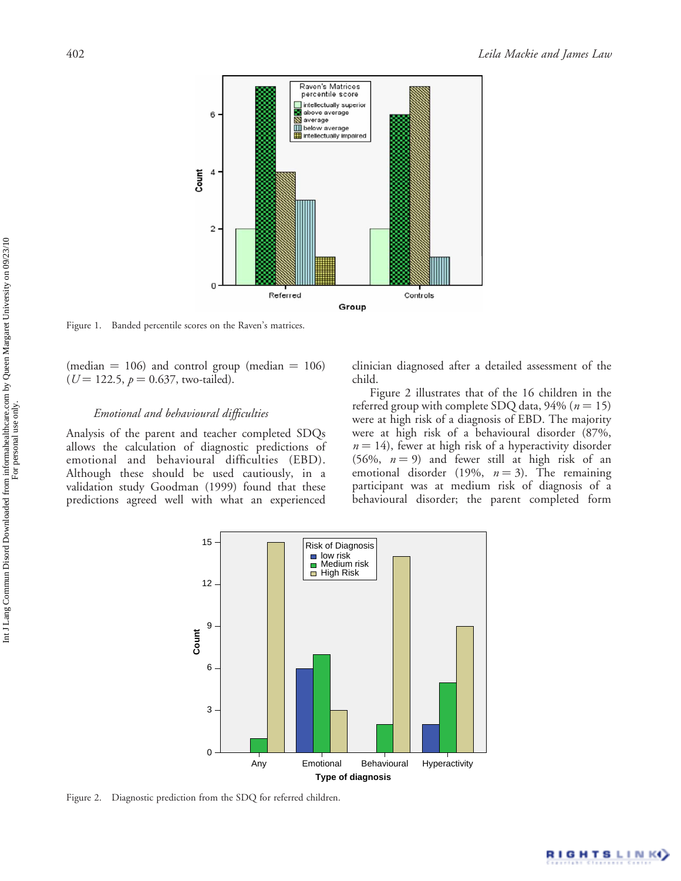

Figure 1. Banded percentile scores on the Raven's matrices.

(median  $= 106$ ) and control group (median  $= 106$ )  $(U = 122.5, p = 0.637,$  two-tailed).

## Emotional and behavioural difficulties

Analysis of the parent and teacher completed SDQs allows the calculation of diagnostic predictions of emotional and behavioural difficulties (EBD). Although these should be used cautiously, in a validation study Goodman (1999) found that these predictions agreed well with what an experienced

clinician diagnosed after a detailed assessment of the child.

Figure 2 illustrates that of the 16 children in the referred group with complete SDQ data,  $94\%$  ( $n = 15$ ) were at high risk of a diagnosis of EBD. The majority were at high risk of a behavioural disorder (87%,  $n = 14$ ), fewer at high risk of a hyperactivity disorder  $(56\%, n=9)$  and fewer still at high risk of an emotional disorder (19%,  $n = 3$ ). The remaining participant was at medium risk of diagnosis of a behavioural disorder; the parent completed form



Figure 2. Diagnostic prediction from the SDQ for referred children.

For personal use only.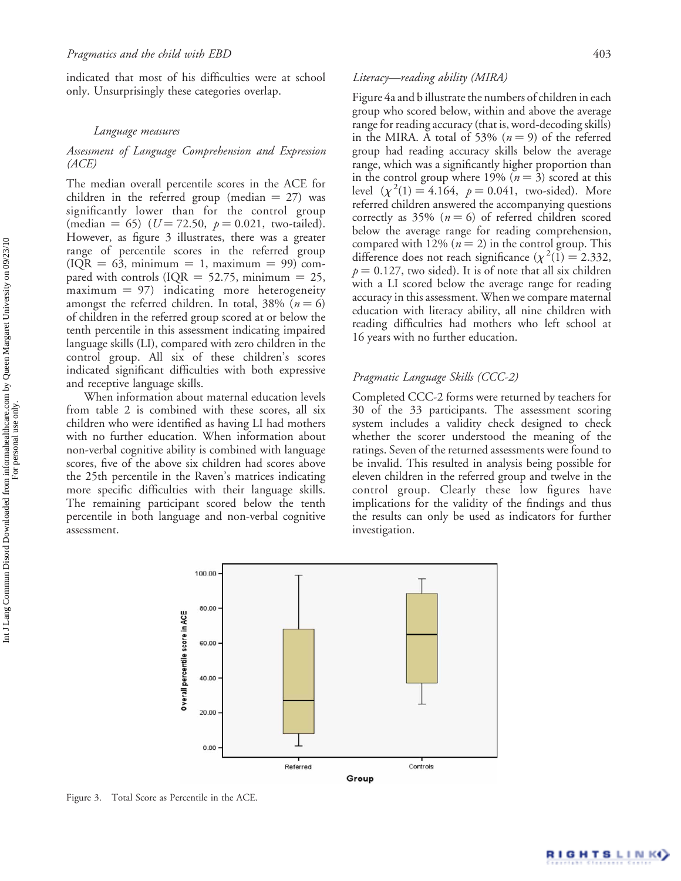indicated that most of his difficulties were at school only. Unsurprisingly these categories overlap.

#### Language measures

## Assessment of Language Comprehension and Expression (ACE)

The median overall percentile scores in the ACE for children in the referred group (median  $= 27$ ) was significantly lower than for the control group (median = 65) ( $U = 72.50, p = 0.021$ , two-tailed). However, as figure 3 illustrates, there was a greater range of percentile scores in the referred group  $(IQR = 63, minimum = 1, maximum = 99)$  compared with controls ( $IQR = 52.75$ , minimum = 25,  $maximum = 97$ ) indicating more heterogeneity amongst the referred children. In total, 38% ( $n = 6$ ) of children in the referred group scored at or below the tenth percentile in this assessment indicating impaired language skills (LI), compared with zero children in the control group. All six of these children's scores indicated significant difficulties with both expressive and receptive language skills.

When information about maternal education levels from table 2 is combined with these scores, all six children who were identified as having LI had mothers with no further education. When information about non-verbal cognitive ability is combined with language scores, five of the above six children had scores above the 25th percentile in the Raven's matrices indicating more specific difficulties with their language skills. The remaining participant scored below the tenth percentile in both language and non-verbal cognitive assessment.

## Literacy—reading ability (MIRA)

Figure 4a and b illustrate the numbers of children in each group who scored below, within and above the average range for reading accuracy (that is, word-decoding skills) in the MIRA. A total of 53% ( $n = 9$ ) of the referred group had reading accuracy skills below the average range, which was a significantly higher proportion than in the control group where 19% ( $n = 3$ ) scored at this level  $(\chi^2(1) = 4.164, p = 0.041,$  two-sided). More referred children answered the accompanying questions correctly as 35% ( $n = 6$ ) of referred children scored below the average range for reading comprehension, compared with 12% ( $n = 2$ ) in the control group. This difference does not reach significance  $(\chi^2(1)) = 2.332$ ,  $p = 0.127$ , two sided). It is of note that all six children with a LI scored below the average range for reading accuracy in this assessment. When we compare maternal education with literacy ability, all nine children with reading difficulties had mothers who left school at 16 years with no further education.

## Pragmatic Language Skills (CCC-2)

Completed CCC-2 forms were returned by teachers for 30 of the 33 participants. The assessment scoring system includes a validity check designed to check whether the scorer understood the meaning of the ratings. Seven of the returned assessments were found to be invalid. This resulted in analysis being possible for eleven children in the referred group and twelve in the control group. Clearly these low figures have implications for the validity of the findings and thus the results can only be used as indicators for further investigation.



Figure 3. Total Score as Percentile in the ACE.

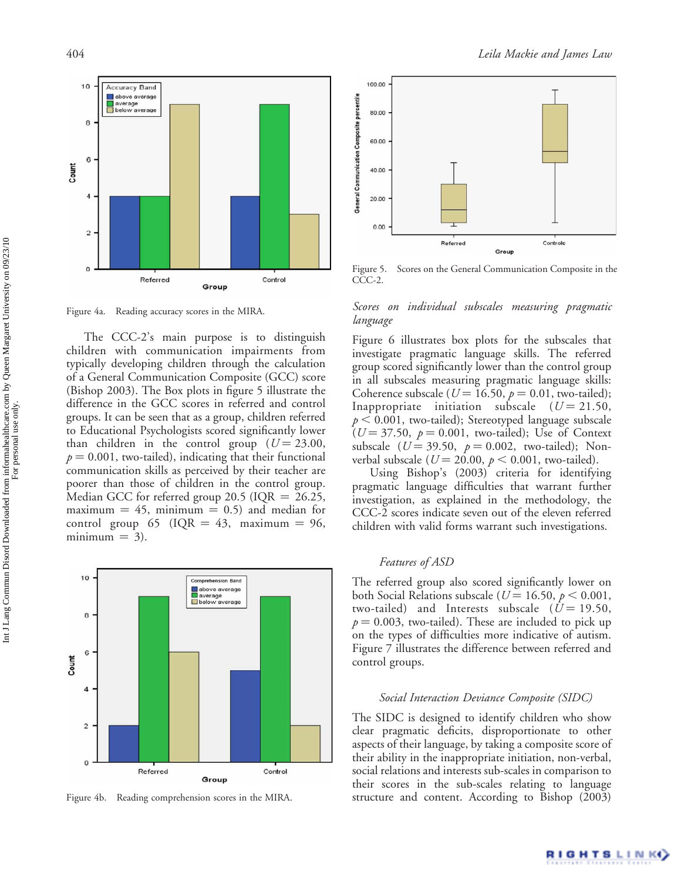

Figure 4a. Reading accuracy scores in the MIRA.

The CCC-2's main purpose is to distinguish children with communication impairments from typically developing children through the calculation of a General Communication Composite (GCC) score (Bishop 2003). The Box plots in figure 5 illustrate the difference in the GCC scores in referred and control groups. It can be seen that as a group, children referred to Educational Psychologists scored significantly lower than children in the control group  $(U = 23.00,$  $p = 0.001$ , two-tailed), indicating that their functional communication skills as perceived by their teacher are poorer than those of children in the control group. Median GCC for referred group 20.5 ( $IQR = 26.25$ , maximum  $= 45$ , minimum  $= 0.5$ ) and median for control group 65 ( $IQR = 43$ , maximum = 96, minimum  $= 3$ ).



Figure 4b. Reading comprehension scores in the MIRA.



Figure 5. Scores on the General Communication Composite in the CCC-2.

# Scores on individual subscales measuring pragmatic language

Figure 6 illustrates box plots for the subscales that investigate pragmatic language skills. The referred group scored significantly lower than the control group in all subscales measuring pragmatic language skills: Coherence subscale ( $U = 16.50$ ,  $p = 0.01$ , two-tailed); Inappropriate initiation subscale  $(U = 21.50,$  $p < 0.001$ , two-tailed); Stereotyped language subscale  $(U = 37.50, p = 0.001,$  two-tailed); Use of Context subscale  $(U = 39.50, p = 0.002,$  two-tailed); Nonverbal subscale ( $U = 20.00$ ,  $p < 0.001$ , two-tailed).

Using Bishop's (2003) criteria for identifying pragmatic language difficulties that warrant further investigation, as explained in the methodology, the CCC-2 scores indicate seven out of the eleven referred children with valid forms warrant such investigations.

#### Features of ASD

The referred group also scored significantly lower on both Social Relations subscale ( $U = 16.50, p \le 0.001$ , two-tailed) and Interests subscale  $(U = 19.50,$  $p = 0.003$ , two-tailed). These are included to pick up on the types of difficulties more indicative of autism. Figure 7 illustrates the difference between referred and control groups.

#### Social Interaction Deviance Composite (SIDC)

The SIDC is designed to identify children who show clear pragmatic deficits, disproportionate to other aspects of their language, by taking a composite score of their ability in the inappropriate initiation, non-verbal, social relations and interests sub-scales in comparison to their scores in the sub-scales relating to language structure and content. According to Bishop (2003)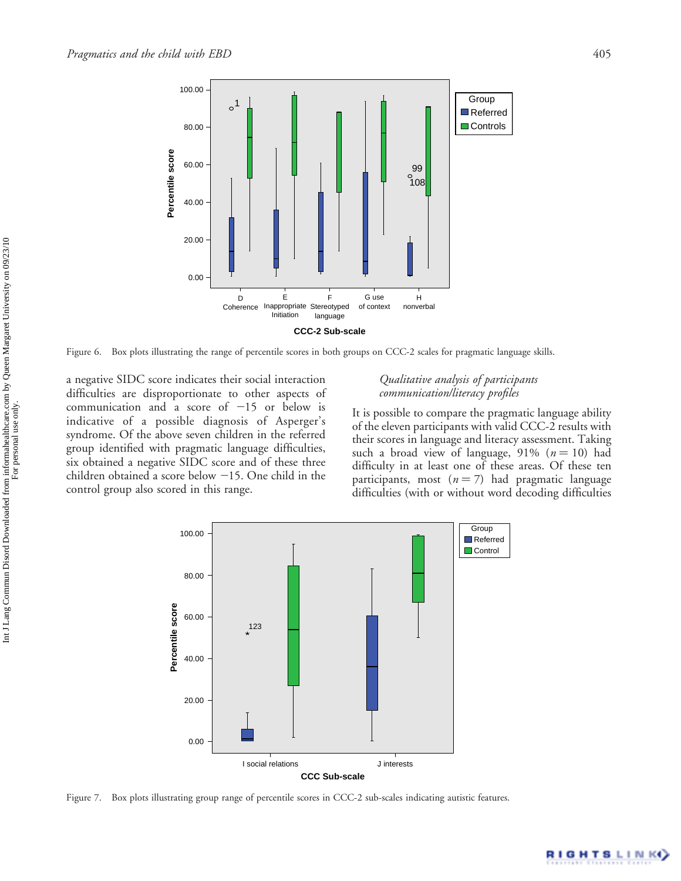

Figure 6. Box plots illustrating the range of percentile scores in both groups on CCC-2 scales for pragmatic language skills.

a negative SIDC score indicates their social interaction difficulties are disproportionate to other aspects of communication and a score of  $-15$  or below is indicative of a possible diagnosis of Asperger's syndrome. Of the above seven children in the referred group identified with pragmatic language difficulties, six obtained a negative SIDC score and of these three children obtained a score below  $-15$ . One child in the control group also scored in this range.

# Qualitative analysis of participants communication/literacy profiles

It is possible to compare the pragmatic language ability of the eleven participants with valid CCC-2 results with their scores in language and literacy assessment. Taking such a broad view of language,  $91\%$  ( $n = 10$ ) had difficulty in at least one of these areas. Of these ten participants, most  $(n = 7)$  had pragmatic language difficulties (with or without word decoding difficulties



Figure 7. Box plots illustrating group range of percentile scores in CCC-2 sub-scales indicating autistic features.

For personal use only.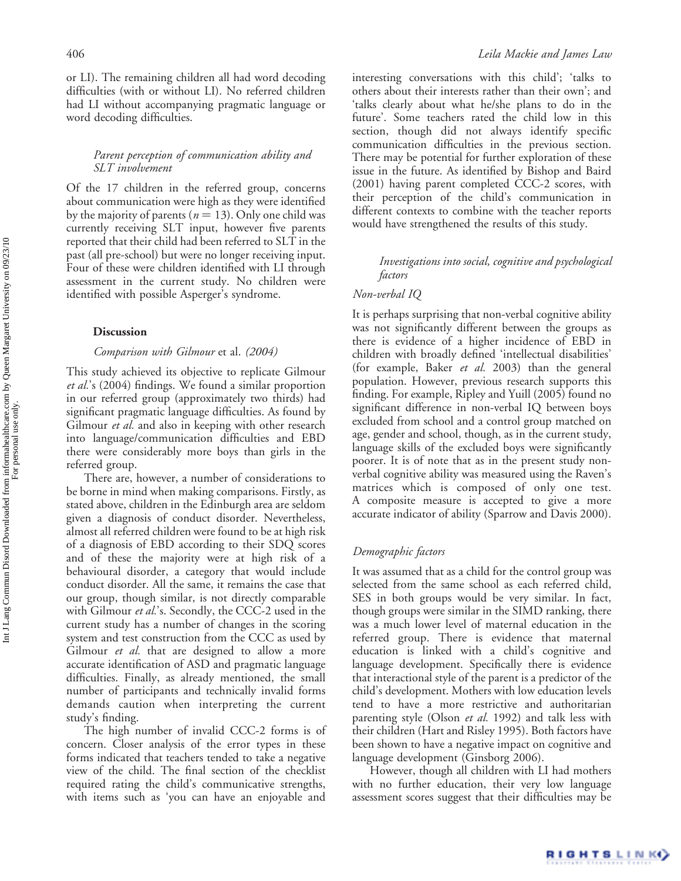or LI). The remaining children all had word decoding difficulties (with or without LI). No referred children had LI without accompanying pragmatic language or word decoding difficulties.

# Parent perception of communication ability and SLT involvement

Of the 17 children in the referred group, concerns about communication were high as they were identified by the majority of parents ( $n = 13$ ). Only one child was currently receiving SLT input, however five parents reported that their child had been referred to SLT in the past (all pre-school) but were no longer receiving input. Four of these were children identified with LI through assessment in the current study. No children were identified with possible Asperger's syndrome.

## **Discussion**

#### Comparison with Gilmour et al. (2004)

This study achieved its objective to replicate Gilmour et al.'s (2004) findings. We found a similar proportion in our referred group (approximately two thirds) had significant pragmatic language difficulties. As found by Gilmour *et al.* and also in keeping with other research into language/communication difficulties and EBD there were considerably more boys than girls in the referred group.

There are, however, a number of considerations to be borne in mind when making comparisons. Firstly, as stated above, children in the Edinburgh area are seldom given a diagnosis of conduct disorder. Nevertheless, almost all referred children were found to be at high risk of a diagnosis of EBD according to their SDQ scores and of these the majority were at high risk of a behavioural disorder, a category that would include conduct disorder. All the same, it remains the case that our group, though similar, is not directly comparable with Gilmour et al.'s. Secondly, the CCC-2 used in the current study has a number of changes in the scoring system and test construction from the CCC as used by Gilmour *et al.* that are designed to allow a more accurate identification of ASD and pragmatic language difficulties. Finally, as already mentioned, the small number of participants and technically invalid forms demands caution when interpreting the current study's finding.

The high number of invalid CCC-2 forms is of concern. Closer analysis of the error types in these forms indicated that teachers tended to take a negative view of the child. The final section of the checklist required rating the child's communicative strengths, with items such as 'you can have an enjoyable and

interesting conversations with this child'; 'talks to others about their interests rather than their own'; and 'talks clearly about what he/she plans to do in the future'. Some teachers rated the child low in this section, though did not always identify specific communication difficulties in the previous section. There may be potential for further exploration of these issue in the future. As identified by Bishop and Baird (2001) having parent completed CCC-2 scores, with their perception of the child's communication in different contexts to combine with the teacher reports would have strengthened the results of this study.

Investigations into social, cognitive and psychological factors

## Non-verbal IQ

It is perhaps surprising that non-verbal cognitive ability was not significantly different between the groups as there is evidence of a higher incidence of EBD in children with broadly defined 'intellectual disabilities' (for example, Baker et al. 2003) than the general population. However, previous research supports this finding. For example, Ripley and Yuill (2005) found no significant difference in non-verbal IQ between boys excluded from school and a control group matched on age, gender and school, though, as in the current study, language skills of the excluded boys were significantly poorer. It is of note that as in the present study nonverbal cognitive ability was measured using the Raven's matrices which is composed of only one test. A composite measure is accepted to give a more accurate indicator of ability (Sparrow and Davis 2000).

#### Demographic factors

It was assumed that as a child for the control group was selected from the same school as each referred child, SES in both groups would be very similar. In fact, though groups were similar in the SIMD ranking, there was a much lower level of maternal education in the referred group. There is evidence that maternal education is linked with a child's cognitive and language development. Specifically there is evidence that interactional style of the parent is a predictor of the child's development. Mothers with low education levels tend to have a more restrictive and authoritarian parenting style (Olson *et al.* 1992) and talk less with their children (Hart and Risley 1995). Both factors have been shown to have a negative impact on cognitive and language development (Ginsborg 2006).

However, though all children with LI had mothers with no further education, their very low language assessment scores suggest that their difficulties may be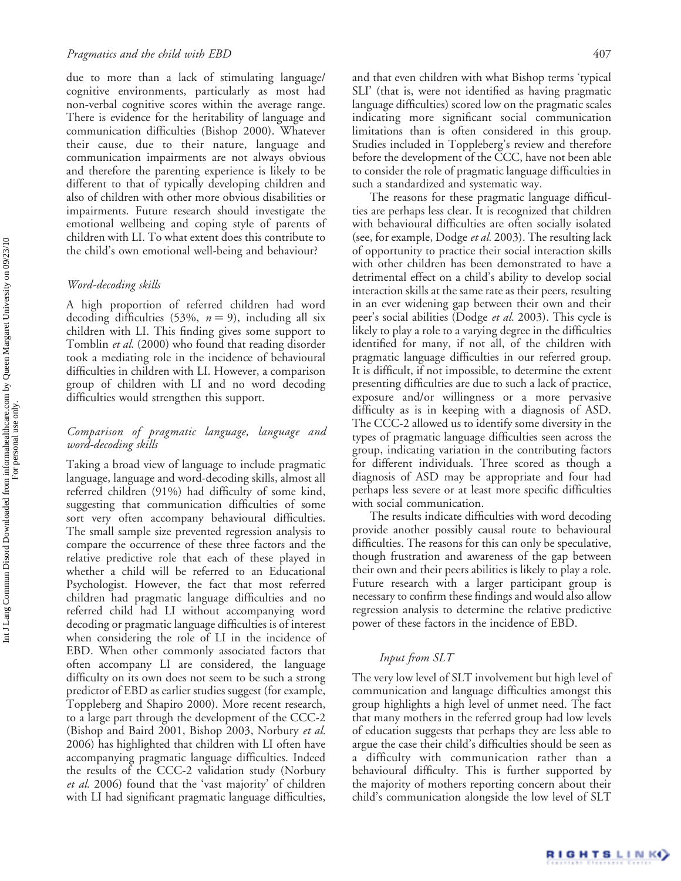due to more than a lack of stimulating language/ cognitive environments, particularly as most had non-verbal cognitive scores within the average range. There is evidence for the heritability of language and communication difficulties (Bishop 2000). Whatever their cause, due to their nature, language and communication impairments are not always obvious and therefore the parenting experience is likely to be different to that of typically developing children and also of children with other more obvious disabilities or impairments. Future research should investigate the emotional wellbeing and coping style of parents of children with LI. To what extent does this contribute to the child's own emotional well-being and behaviour?

#### Word-decoding skills

A high proportion of referred children had word decoding difficulties (53%,  $n = 9$ ), including all six children with LI. This finding gives some support to Tomblin et al. (2000) who found that reading disorder took a mediating role in the incidence of behavioural difficulties in children with LI. However, a comparison group of children with LI and no word decoding difficulties would strengthen this support.

# Comparison of pragmatic language, language and word-decoding skills

Taking a broad view of language to include pragmatic language, language and word-decoding skills, almost all referred children (91%) had difficulty of some kind, suggesting that communication difficulties of some sort very often accompany behavioural difficulties. The small sample size prevented regression analysis to compare the occurrence of these three factors and the relative predictive role that each of these played in whether a child will be referred to an Educational Psychologist. However, the fact that most referred children had pragmatic language difficulties and no referred child had LI without accompanying word decoding or pragmatic language difficulties is of interest when considering the role of LI in the incidence of EBD. When other commonly associated factors that often accompany LI are considered, the language difficulty on its own does not seem to be such a strong predictor of EBD as earlier studies suggest (for example, Toppleberg and Shapiro 2000). More recent research, to a large part through the development of the CCC-2 (Bishop and Baird 2001, Bishop 2003, Norbury et al. 2006) has highlighted that children with LI often have accompanying pragmatic language difficulties. Indeed the results of the CCC-2 validation study (Norbury et al. 2006) found that the 'vast majority' of children with LI had significant pragmatic language difficulties,

to consider the role of pragmatic language difficulties in such a standardized and systematic way. The reasons for these pragmatic language difficulties are perhaps less clear. It is recognized that children with behavioural difficulties are often socially isolated (see, for example, Dodge et al. 2003). The resulting lack of opportunity to practice their social interaction skills with other children has been demonstrated to have a detrimental effect on a child's ability to develop social interaction skills at the same rate as their peers, resulting in an ever widening gap between their own and their peer's social abilities (Dodge et al. 2003). This cycle is likely to play a role to a varying degree in the difficulties identified for many, if not all, of the children with pragmatic language difficulties in our referred group. It is difficult, if not impossible, to determine the extent presenting difficulties are due to such a lack of practice, exposure and/or willingness or a more pervasive difficulty as is in keeping with a diagnosis of ASD. The CCC-2 allowed us to identify some diversity in the types of pragmatic language difficulties seen across the group, indicating variation in the contributing factors for different individuals. Three scored as though a diagnosis of ASD may be appropriate and four had perhaps less severe or at least more specific difficulties with social communication.

before the development of the CCC, have not been able

The results indicate difficulties with word decoding provide another possibly causal route to behavioural difficulties. The reasons for this can only be speculative, though frustration and awareness of the gap between their own and their peers abilities is likely to play a role. Future research with a larger participant group is necessary to confirm these findings and would also allow regression analysis to determine the relative predictive power of these factors in the incidence of EBD.

## Input from SLT

The very low level of SLT involvement but high level of communication and language difficulties amongst this group highlights a high level of unmet need. The fact that many mothers in the referred group had low levels of education suggests that perhaps they are less able to argue the case their child's difficulties should be seen as a difficulty with communication rather than a behavioural difficulty. This is further supported by the majority of mothers reporting concern about their child's communication alongside the low level of SLT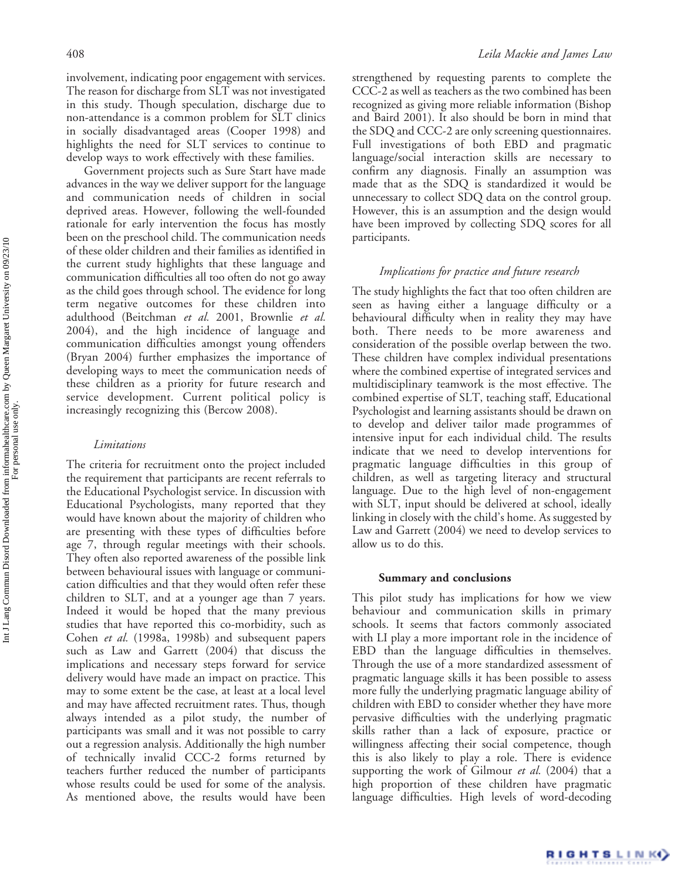involvement, indicating poor engagement with services. The reason for discharge from SLT was not investigated in this study. Though speculation, discharge due to non-attendance is a common problem for SLT clinics in socially disadvantaged areas (Cooper 1998) and highlights the need for SLT services to continue to develop ways to work effectively with these families.

Government projects such as Sure Start have made advances in the way we deliver support for the language and communication needs of children in social deprived areas. However, following the well-founded rationale for early intervention the focus has mostly been on the preschool child. The communication needs of these older children and their families as identified in the current study highlights that these language and communication difficulties all too often do not go away as the child goes through school. The evidence for long term negative outcomes for these children into adulthood (Beitchman et al. 2001, Brownlie et al. 2004), and the high incidence of language and communication difficulties amongst young offenders (Bryan 2004) further emphasizes the importance of developing ways to meet the communication needs of these children as a priority for future research and service development. Current political policy is increasingly recognizing this (Bercow 2008).

#### Limitations

The criteria for recruitment onto the project included the requirement that participants are recent referrals to the Educational Psychologist service. In discussion with Educational Psychologists, many reported that they would have known about the majority of children who are presenting with these types of difficulties before age 7, through regular meetings with their schools. They often also reported awareness of the possible link between behavioural issues with language or communication difficulties and that they would often refer these children to SLT, and at a younger age than 7 years. Indeed it would be hoped that the many previous studies that have reported this co-morbidity, such as Cohen et al. (1998a, 1998b) and subsequent papers such as Law and Garrett (2004) that discuss the implications and necessary steps forward for service delivery would have made an impact on practice. This may to some extent be the case, at least at a local level and may have affected recruitment rates. Thus, though always intended as a pilot study, the number of participants was small and it was not possible to carry out a regression analysis. Additionally the high number of technically invalid CCC-2 forms returned by teachers further reduced the number of participants whose results could be used for some of the analysis. As mentioned above, the results would have been

strengthened by requesting parents to complete the CCC-2 as well as teachers as the two combined has been recognized as giving more reliable information (Bishop and Baird 2001). It also should be born in mind that the SDQ and CCC-2 are only screening questionnaires. Full investigations of both EBD and pragmatic language/social interaction skills are necessary to confirm any diagnosis. Finally an assumption was made that as the SDQ is standardized it would be unnecessary to collect SDQ data on the control group. However, this is an assumption and the design would have been improved by collecting SDQ scores for all participants.

# Implications for practice and future research

The study highlights the fact that too often children are seen as having either a language difficulty or a behavioural difficulty when in reality they may have both. There needs to be more awareness and consideration of the possible overlap between the two. These children have complex individual presentations where the combined expertise of integrated services and multidisciplinary teamwork is the most effective. The combined expertise of SLT, teaching staff, Educational Psychologist and learning assistants should be drawn on to develop and deliver tailor made programmes of intensive input for each individual child. The results indicate that we need to develop interventions for pragmatic language difficulties in this group of children, as well as targeting literacy and structural language. Due to the high level of non-engagement with SLT, input should be delivered at school, ideally linking in closely with the child's home. As suggested by Law and Garrett (2004) we need to develop services to allow us to do this.

#### Summary and conclusions

This pilot study has implications for how we view behaviour and communication skills in primary schools. It seems that factors commonly associated with LI play a more important role in the incidence of EBD than the language difficulties in themselves. Through the use of a more standardized assessment of pragmatic language skills it has been possible to assess more fully the underlying pragmatic language ability of children with EBD to consider whether they have more pervasive difficulties with the underlying pragmatic skills rather than a lack of exposure, practice or willingness affecting their social competence, though this is also likely to play a role. There is evidence supporting the work of Gilmour et al. (2004) that a high proportion of these children have pragmatic language difficulties. High levels of word-decoding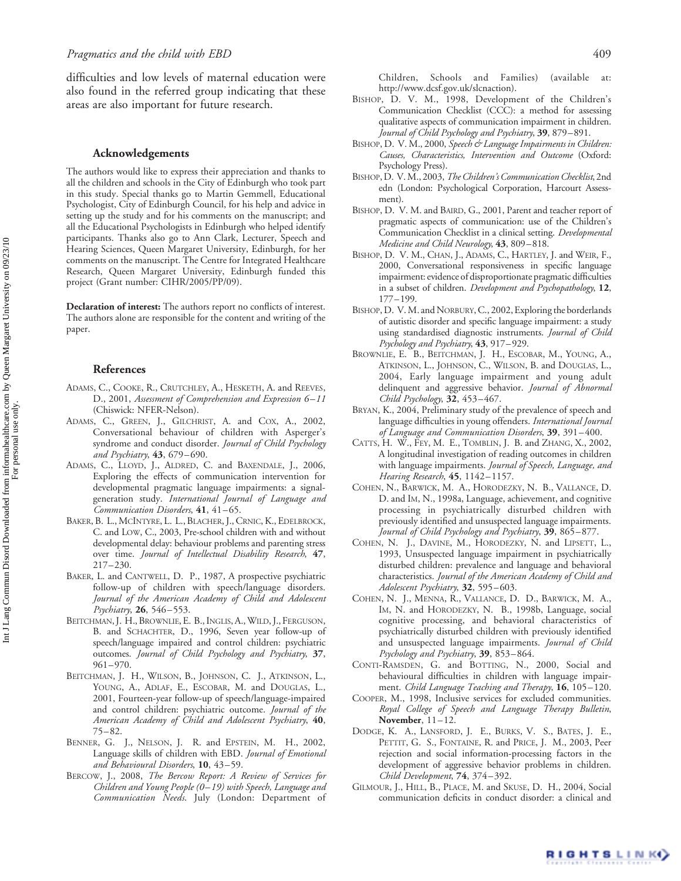difficulties and low levels of maternal education were also found in the referred group indicating that these areas are also important for future research.

#### Acknowledgements

The authors would like to express their appreciation and thanks to all the children and schools in the City of Edinburgh who took part in this study. Special thanks go to Martin Gemmell, Educational Psychologist, City of Edinburgh Council, for his help and advice in setting up the study and for his comments on the manuscript; and all the Educational Psychologists in Edinburgh who helped identify participants. Thanks also go to Ann Clark, Lecturer, Speech and Hearing Sciences, Queen Margaret University, Edinburgh, for her comments on the manuscript. The Centre for Integrated Healthcare Research, Queen Margaret University, Edinburgh funded this project (Grant number: CIHR/2005/PP/09).

Declaration of interest: The authors report no conflicts of interest. The authors alone are responsible for the content and writing of the paper.

#### References

- ADAMS, C., COOKE, R., CRUTCHLEY, A., HESKETH, A. and REEVES, D., 2001, Assessment of Comprehension and Expression 6–11 (Chiswick: NFER-Nelson).
- ADAMS, C., GREEN, J., GILCHRIST, A. and COX, A., 2002, Conversational behaviour of children with Asperger's syndrome and conduct disorder. Journal of Child Psychology and Psychiatry,  $43, 679 - 690$ .
- ADAMS, C., LLOYD, J., ALDRED, C. and BAXENDALE, J., 2006, Exploring the effects of communication intervention for developmental pragmatic language impairments: a signalgeneration study. International Journal of Language and Communication Disorders, 41, 41–65.
- BAKER, B. L., MCINTYRE, L. L., BLACHER, J., CRNIC, K., EDELBROCK, C. and LOW, C., 2003, Pre-school children with and without developmental delay: behaviour problems and parenting stress over time. Journal of Intellectual Disability Research, 47, 217–230.
- BAKER, L. and CANTWELL, D. P., 1987, A prospective psychiatric follow-up of children with speech/language disorders. Journal of the American Academy of Child and Adolescent Psychiatry, 26, 546–553.
- BEITCHMAN, J. H., BROWNLIE, E. B., INGLIS, A., WILD, J., FERGUSON, B. and SCHACHTER, D., 1996, Seven year follow-up of speech/language impaired and control children: psychiatric outcomes. Journal of Child Psychology and Psychiatry, 37, 961–970.
- BEITCHMAN, J. H., WILSON, B., JOHNSON, C. J., ATKINSON, L., YOUNG, A., ADLAF, E., ESCOBAR, M. and DOUGLAS, L., 2001, Fourteen-year follow-up of speech/language-impaired and control children: psychiatric outcome. Journal of the American Academy of Child and Adolescent Psychiatry, 40, 75–82.
- BENNER, G. J., NELSON, J. R. and EPSTEIN, M. H., 2002, Language skills of children with EBD. Journal of Emotional and Behavioural Disorders, 10, 43–59.
- BERCOW, J., 2008, The Bercow Report: A Review of Services for Children and Young People (0–19) with Speech, Language and Communication Needs. July (London: Department of

Children, Schools and Families) (available at: http://www.dcsf.gov.uk/slcnaction).

- BISHOP, D. V. M., 1998, Development of the Children's Communication Checklist (CCC): a method for assessing qualitative aspects of communication impairment in children. Journal of Child Psychology and Psychiatry, 39, 879–891.
- BISHOP, D. V. M., 2000, Speech & Language Impairments in Children: Causes, Characteristics, Intervention and Outcome (Oxford: Psychology Press).
- BISHOP, D. V. M., 2003, The Children's Communication Checklist, 2nd edn (London: Psychological Corporation, Harcourt Assessment).
- BISHOP, D. V. M. and BAIRD, G., 2001, Parent and teacher report of pragmatic aspects of communication: use of the Children's Communication Checklist in a clinical setting. Developmental Medicine and Child Neurology, 43, 809–818.
- BISHOP, D. V. M., CHAN, J., ADAMS, C., HARTLEY, J. and WEIR, F., 2000, Conversational responsiveness in specific language impairment: evidence of disproportionate pragmatic difficulties in a subset of children. Development and Psychopathology, 12, 177–199.
- BISHOP, D. V. M. and NORBURY, C., 2002, Exploring the borderlands of autistic disorder and specific language impairment: a study using standardised diagnostic instruments. Journal of Child Psychology and Psychiatry, 43, 917-929.
- BROWNLIE, E. B., BEITCHMAN, J. H., ESCOBAR, M., YOUNG, A., ATKINSON, L., JOHNSON, C., WILSON, B. and DOUGLAS, L., 2004, Early language impairment and young adult delinquent and aggressive behavior. Journal of Abnormal Child Psychology, 32, 453-467.
- BRYAN, K., 2004, Preliminary study of the prevalence of speech and language difficulties in young offenders. International Journal of Language and Communication Disorders, 39, 391–400.
- CATTS, H. W., FEY, M. E., TOMBLIN, J. B. and ZHANG, X., 2002, A longitudinal investigation of reading outcomes in children with language impairments. Journal of Speech, Language, and Hearing Research, 45, 1142–1157.
- COHEN, N., BARWICK, M. A., HORODEZKY, N. B., VALLANCE, D. D. and IM, N., 1998a, Language, achievement, and cognitive processing in psychiatrically disturbed children with previously identified and unsuspected language impairments. Journal of Child Psychology and Psychiatry, 39, 865-877.
- COHEN, N. J., DAVINE, M., HORODEZKY, N. and LIPSETT, L., 1993, Unsuspected language impairment in psychiatrically disturbed children: prevalence and language and behavioral characteristics. Journal of the American Academy of Child and Adolescent Psychiatry, 32, 595–603.
- COHEN, N. J., MENNA, R., VALLANCE, D. D., BARWICK, M. A., IM, N. and HORODEZKY, N. B., 1998b, Language, social cognitive processing, and behavioral characteristics of psychiatrically disturbed children with previously identified and unsuspected language impairments. Journal of Child Psychology and Psychiatry, 39, 853–864.
- CONTI-RAMSDEN, G. and BOTTING, N., 2000, Social and behavioural difficulties in children with language impairment. Child Language Teaching and Therapy, 16, 105-120.
- COOPER, M., 1998, Inclusive services for excluded communities. Royal College of Speech and Language Therapy Bulletin, November, 11–12.
- DODGE, K. A., LANSFORD, J. E., BURKS, V. S., BATES, J. E., PETTIT, G. S., FONTAINE, R. and PRICE, J. M., 2003, Peer rejection and social information-processing factors in the development of aggressive behavior problems in children. Child Development, 74, 374–392.
- GILMOUR, J., HILL, B., PLACE, M. and SKUSE, D. H., 2004, Social communication deficits in conduct disorder: a clinical and

For personal use only.